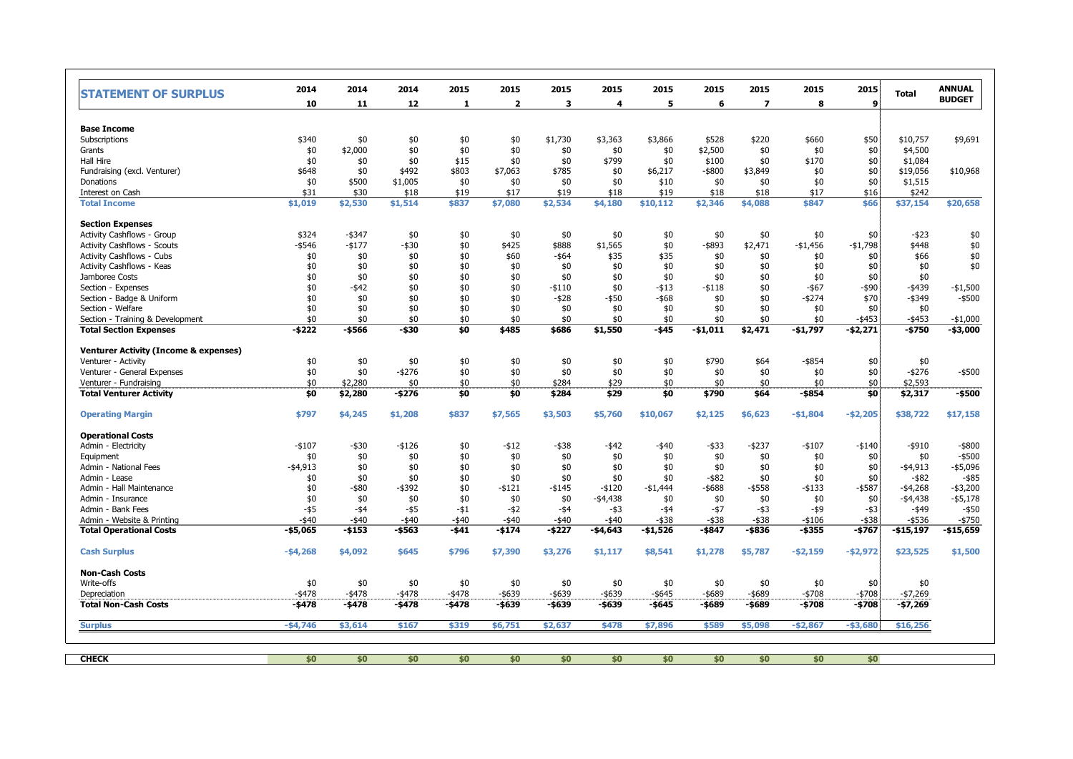| <b>STATEMENT OF SURPLUS</b>                      | 2014        | 2014      | 2014      | 2015         | 2015           | 2015      | 2015        | 2015      | 2015      | 2015                     | 2015        | 2015        | <b>Total</b> | <b>ANNUAL</b><br><b>BUDGET</b> |
|--------------------------------------------------|-------------|-----------|-----------|--------------|----------------|-----------|-------------|-----------|-----------|--------------------------|-------------|-------------|--------------|--------------------------------|
|                                                  | 10          | 11        | 12        | $\mathbf{1}$ | $\overline{2}$ | 3         | 4           | 5         | 6         | $\overline{\phantom{a}}$ | 8           | 9           |              |                                |
| <b>Base Income</b>                               |             |           |           |              |                |           |             |           |           |                          |             |             |              |                                |
| Subscriptions                                    | \$340       | \$0       | \$0       | \$0          | \$0            | \$1,730   | \$3,363     | \$3,866   | \$528     | \$220                    | \$660       | \$50        | \$10,757     | \$9,691                        |
| Grants                                           | \$0         | \$2,000   | \$0       | \$0          | \$0            | \$0       | \$0         | \$0       | \$2,500   | \$0                      | \$0         | \$0         | \$4,500      |                                |
| Hall Hire                                        | \$0         | \$0       | \$0       | \$15         | \$0            | \$0       | \$799       | \$0       | \$100     | \$0                      | \$170       | \$0         | \$1,084      |                                |
| Fundraising (excl. Venturer)                     | \$648       | \$0       | \$492     | \$803        | \$7,063        | \$785     | \$0         | \$6,217   | $-$ \$800 | \$3,849                  | \$0         | \$0         | \$19,056     | \$10,968                       |
| Donations                                        | \$0         | \$500     | \$1,005   | \$0          | \$0            | \$0       | \$0         | \$10      | \$0       | \$0                      | \$0         | \$0         | \$1,515      |                                |
| Interest on Cash                                 | \$31        | \$30      | \$18      | \$19         | \$17           | \$19      | \$18        | \$19      | \$18      | \$18                     | \$17        | \$16        | \$242        |                                |
| <b>Total Income</b>                              | \$1,019     | \$2,530   | \$1,514   | \$837        | \$7,080        | \$2,534   | \$4,180     | \$10,112  | \$2,346   | \$4,088                  | \$847       | \$66        | \$37,154     | \$20,658                       |
| <b>Section Expenses</b>                          |             |           |           |              |                |           |             |           |           |                          |             |             |              |                                |
| Activity Cashflows - Group                       | \$324       | $-$ \$347 | \$0       | \$0          | \$0            | \$0       | \$0         | \$0       | \$0       | \$0                      | \$0         | \$0         | $-$ \$23     | \$0                            |
| <b>Activity Cashflows - Scouts</b>               | $-$ \$546   | $-$ \$177 | -\$30     | \$0          | \$425          | \$888     | \$1,565     | \$0       | -\$893    | \$2,471                  | $-$1,456$   | $-$1,798$   | \$448        | \$0                            |
| <b>Activity Cashflows - Cubs</b>                 | \$0         | \$0       | \$0       | \$0          | \$60           | $-$ \$64  | \$35        | \$35      | \$0       | \$0                      | \$0         | \$0         | \$66         | \$0                            |
| Activity Cashflows - Keas                        | \$0         | \$0       | \$0       | \$0          | \$0            | \$0       | \$0         | \$0       | \$0       | \$0                      | \$0         | \$0         | \$0          | \$0                            |
| Jamboree Costs                                   | \$0         | \$0       | \$0       | \$0          | \$0            | \$0       | \$0         | \$0       | \$0       | \$0                      | \$0         | \$0         | \$0          |                                |
| Section - Expenses                               | \$0         | $-$ \$42  | \$0       | \$0          | \$0            | $-$110$   | \$0         | $-$ \$13  | $- $118$  | \$0                      | $-$ \$67    | $-$ \$90    | $-$ \$439    | $-$1,500$                      |
| Section - Badge & Uniform                        | \$0         | \$0       | \$0       | \$0          | \$0            | $-$ \$28  | $-$ \$50    | -\$68     | \$0       | \$0                      | $-$ \$274   | \$70        | $-$ \$349    | $-$ \$500                      |
| Section - Welfare                                | \$0         | \$0       | \$0       | \$0          | \$0            | \$0       | \$0         | \$0       | \$0       | \$0                      | \$0         | \$0         | \$0          |                                |
| Section - Training & Development                 | \$0         | \$0       | \$0       | \$0          | \$0            | \$0       | \$0         | \$0       | \$0       | \$0                      | \$0         | $-$ \$453   | $-$ \$453    | $-$1,000$                      |
| <b>Total Section Expenses</b>                    | $-5222$     | -\$566    | -\$30     | \$0          | \$485          | \$686     | \$1,550     | -\$45     | $-$1,011$ | \$2,471                  | $-$1,797$   | $-$ \$2,271 | -\$750       | -\$3,000                       |
| <b>Venturer Activity (Income &amp; expenses)</b> |             |           |           |              |                |           |             |           |           |                          |             |             |              |                                |
| Venturer - Activity                              | \$0         | \$0       | \$0       | \$0          | \$0            | \$0       | \$0         | \$0       | \$790     | \$64                     | $-$ \$854   | \$0         | \$0          |                                |
| Venturer - General Expenses                      | \$0         | \$0       | $-5276$   | \$0          | \$0            | \$0       | \$0         | \$0       | \$0       | \$0                      | \$0         | \$0         | $-$ \$276    | $-$ \$500                      |
| Venturer - Fundraising                           | \$0         | \$2,280   | \$0       | \$0          | \$0            | \$284     | \$29        | \$0       | \$0       | \$0                      | \$0         | \$0         | \$2,593      |                                |
| <b>Total Venturer Activity</b>                   | \$0         | \$2,280   | -\$276    | \$0          | \$0            | \$284     | \$29        | \$0       | \$790     | \$64                     | -\$854      | \$0         | \$2,317      | -\$500                         |
| <b>Operating Margin</b>                          | \$797       | \$4,245   | \$1,208   | \$837        | \$7,565        | \$3,503   | \$5,760     | \$10,067  | \$2,125   | \$6,623                  | $- $1,804$  | $-$ \$2,205 | \$38,722     | \$17,158                       |
| <b>Operational Costs</b>                         |             |           |           |              |                |           |             |           |           |                          |             |             |              |                                |
| Admin - Electricity                              | $-$107$     | -\$30     | $-$ \$126 | \$0          | $-$ \$12       | -\$38     | $-$ \$42    | -\$40     | $-$ \$33  | $-$ \$237                | $-$107$     | $-$ \$140   | $-$ \$910    | $-$ \$800                      |
| Equipment                                        | \$0         | \$0       | \$0       | \$0          | \$0            | \$0       | \$0         | \$0       | \$0       | \$0                      | \$0         | \$0         | \$0          | $-$ \$500                      |
| Admin - National Fees                            | -\$4,913    | \$0       | \$0       | \$0          | \$0            | \$0       | \$0         | \$0       | \$0       | \$0                      | \$0         | \$0         | $-$ \$4,913  | -\$5,096                       |
| Admin - Lease                                    | \$0         | \$0       | \$0       | \$0          | \$0            | \$0       | \$0         | \$0       | $-$ \$82  | \$0                      | \$0         | \$0         | $-$ \$82     | $-$ \$85                       |
| Admin - Hall Maintenance                         | \$0         | $-$ \$80  | $-$ \$392 | \$0          | $-$ \$121      | $-$ \$145 | $-$120$     | $-$1,444$ | $-$ \$688 | $-$ \$558                | $-$133$     | $-$ \$587   | $-$ \$4,268  | $-$ \$3,200                    |
| Admin - Insurance                                | \$0         | \$0       | \$0       | \$0          | \$0            | \$0       | $-$ \$4,438 | \$0       | \$0       | \$0                      | \$0         | \$0         | $-$ \$4,438  | $-$ \$5,178                    |
| Admin - Bank Fees                                | $-$ \$5     | $-54$     | $-55$     | -\$1         | $-$ \$2        | $-54$     | -\$3        | -\$4      | $-57$     | -\$3                     | -\$9        | $-$ \$3     | -\$49        | $-$ \$50                       |
| Admin - Website & Printing                       | -\$40       | $-$ \$40  | $-$ \$40  | -\$40        | -\$40          | $-$ \$40  | $-$ \$40    | -\$38     | $-$ \$38  | -\$38                    | $-$106$     | $-$ \$38    | -\$536       | $-$ \$750                      |
| <b>Total Operational Costs</b>                   | $- $5,065$  | -\$153    | -\$563    | -\$41        | -\$174         | -\$227    | $-$ \$4,643 | -\$1,526  | -\$847    | -\$836                   | -\$355      | $-$767$     | $-$15,197$   | -\$15,659                      |
| <b>Cash Surplus</b>                              | $-$ \$4,268 | \$4,092   | \$645     | \$796        | \$7,390        | \$3,276   | \$1,117     | \$8,541   | \$1,278   | \$5,787                  | $-52,159$   | -\$2,972    | \$23,525     | \$1,500                        |
| <b>Non-Cash Costs</b>                            |             |           |           |              |                |           |             |           |           |                          |             |             |              |                                |
| Write-offs                                       | \$0         | \$0       | \$0       | \$0          | \$0            | \$0       | \$0         | \$0       | \$0       | \$0                      | \$0         | \$0         | \$0          |                                |
| Depreciation                                     | $-$ \$478   | $-$ \$478 | $-$ \$478 | $-$ \$478    | $-$ \$639      | -\$639    | $-$ \$639   | $-$ \$645 | $-$ \$689 | -\$689                   | $-$ \$708   | $-$ \$708   | $-$ \$7,269  |                                |
| <b>Total Non-Cash Costs</b>                      | $-5478$     | $-$ \$478 | -\$478    | -\$478       | -\$639         | -\$639    | -\$639      | $-5645$   | -\$689    | -\$689                   | -\$708      | -\$708      | -\$7,269     |                                |
| <b>Surplus</b>                                   | $-$ \$4,746 | \$3,614   | \$167     | \$319        | \$6,751        | \$2,637   | \$478       | \$7,896   | \$589     | \$5,098                  | $-$ \$2,867 | $- $3,680$  | \$16,256     |                                |
|                                                  |             |           |           |              |                |           |             |           |           |                          |             |             |              |                                |
| <b>CHECK</b>                                     | \$0         | \$0       | \$0       | \$0          | \$0            | \$0       | \$0         | \$0       | \$0       | \$0                      | \$0         | \$0         |              |                                |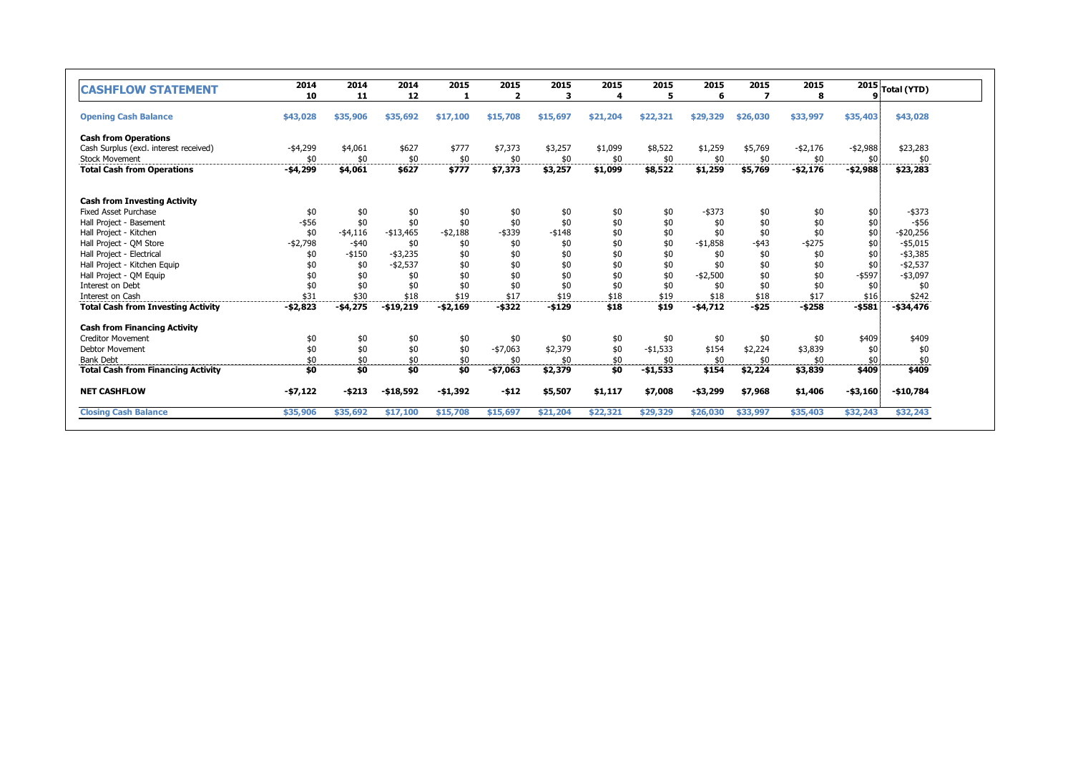| <b>CASHFLOW STATEMENT</b>                 | 2014        | 2014        | 2014        | 2015       | 2015                    | 2015     | 2015     | 2015      | 2015       | 2015     | 2015        |             | $\overline{\text{ }^{2015}}\text{Total (YTD)}$ |
|-------------------------------------------|-------------|-------------|-------------|------------|-------------------------|----------|----------|-----------|------------|----------|-------------|-------------|------------------------------------------------|
|                                           | 10          | 11          | 12          |            | $\overline{\mathbf{z}}$ | 3        | 4        | 5         | 6          | 7        | 8           |             |                                                |
| <b>Opening Cash Balance</b>               | \$43,028    | \$35,906    | \$35,692    | \$17,100   | \$15,708                | \$15,697 | \$21,204 | \$22,321  | \$29,329   | \$26,030 | \$33,997    | \$35,403    | \$43,028                                       |
| <b>Cash from Operations</b>               |             |             |             |            |                         |          |          |           |            |          |             |             |                                                |
| Cash Surplus (excl. interest received)    | $-$ \$4,299 | \$4,061     | \$627       | \$777      | \$7,373                 | \$3,257  | \$1,099  | \$8,522   | \$1,259    | \$5,769  | $-$ \$2,176 | $- $2,988$  | \$23,283                                       |
| <b>Stock Movement</b>                     | \$0         | \$0         | \$0         | \$0        | \$0                     | \$0      | \$0      | \$0       | \$0        | \$0      | \$0         | \$0         | \$0                                            |
| <b>Total Cash from Operations</b>         | -\$4,299    | \$4,061     | \$627       | \$777      | \$7,373                 | \$3,257  | \$1,099  | \$8,522   | \$1,259    | \$5,769  | -\$2,176    | $- $2,988$  | \$23,283                                       |
| <b>Cash from Investing Activity</b>       |             |             |             |            |                         |          |          |           |            |          |             |             |                                                |
| <b>Fixed Asset Purchase</b>               | \$0         | \$0         | \$0         | \$0        | \$0                     | \$0      | \$0      | \$0       | $-$ \$373  | \$0      | \$0         | \$0         | $-$ \$373                                      |
| Hall Project - Basement                   | $-$ \$56    | \$0         | \$0         | \$0        | \$0                     | \$0      | \$0      | \$0       | \$0        | \$0      | \$0         | \$0         | $-$ \$56                                       |
| Hall Project - Kitchen                    | \$0         | $-$ \$4,116 | $-$13,465$  | $- $2,188$ | $-$ \$339               | $- $148$ | \$0      | \$0       | \$0        | \$0      | \$0         | \$0         | $-$ \$20,256                                   |
| Hall Project - QM Store                   | $- $2,798$  | $-$ \$40    | \$0         | \$0        | \$0                     | \$0      | \$0      | \$0       | $- $1,858$ | $-$ \$43 | $-$ \$275   | \$0         | $-$ \$5,015                                    |
| Hall Project - Electrical                 | \$0         | $- $150$    | $-$ \$3,235 | \$0        | \$0                     | \$0      | \$0      | \$0       | \$0        | \$0      | \$0         | \$0         | $-$ \$3,385                                    |
| Hall Project - Kitchen Equip              | \$0         | \$0         | $-$ \$2,537 | \$0        | \$0                     | \$0      | \$0      | \$0       | \$0        | \$0      | \$0         | \$0         | $-$ \$2,537                                    |
| Hall Project - QM Equip                   | \$0         | \$0         | \$0         | \$0        | \$0                     | \$0      | \$0      | \$0       | $-$2,500$  | \$0      | \$0         | $-$ \$597   | $-$ \$3,097                                    |
| Interest on Debt                          | \$0         | \$0         | \$0         | \$0        | \$0                     | \$0      | \$0      | \$0       | \$0        | \$0      | \$0         | \$0         | \$0                                            |
| Interest on Cash                          | \$31        | \$30        | \$18        | \$19       | \$17                    | \$19     | \$18     | \$19      | \$18       | \$18     | \$17        | \$16        | \$242                                          |
| <b>Total Cash from Investing Activity</b> | $-52,823$   | $-54,275$   | $- $19,219$ | $-$2,169$  | $-$ \$322               | $-5129$  | \$18     | \$19      | $-54,712$  | $-525$   | $-5258$     | $-5581$     | -\$34,476                                      |
| <b>Cash from Financing Activity</b>       |             |             |             |            |                         |          |          |           |            |          |             |             |                                                |
| <b>Creditor Movement</b>                  | \$0         | \$0         | \$0         | \$0        | \$0                     | \$0      | \$0      | \$0       | \$0        | \$0      | \$0         | \$409       | \$409                                          |
| <b>Debtor Movement</b>                    | \$0         | \$0         | \$0         | \$0        | $-$7,063$               | \$2,379  | \$0      | $-$1,533$ | \$154      | \$2,224  | \$3,839     | \$0         | \$0                                            |
| <b>Bank Debt</b>                          | \$0         | \$0         | \$0         | \$0        | \$0                     | \$0      | \$0      | \$0       | \$0        | \$0      | \$0         | \$0         | \$0                                            |
| <b>Total Cash from Financing Activity</b> | \$0         | \$0         | \$0         | \$0        | $-$7,063$               | \$2,379  | \$0      | $-$1,533$ | \$154      | \$2,224  | \$3,839     | \$409       | \$409                                          |
| <b>NET CASHFLOW</b>                       | -\$7,122    | $-5213$     | $- $18,592$ | -\$1,392   | $-512$                  | \$5,507  | \$1,117  | \$7,008   | $- $3,299$ | \$7,968  | \$1,406     | $-$ \$3,160 | $-$10,784$                                     |
| <b>Closing Cash Balance</b>               | \$35,906    | \$35,692    | \$17,100    | \$15,708   | \$15,697                | \$21,204 | \$22,321 | \$29,329  | \$26,030   | \$33,997 | \$35,403    | \$32,243    | \$32,243                                       |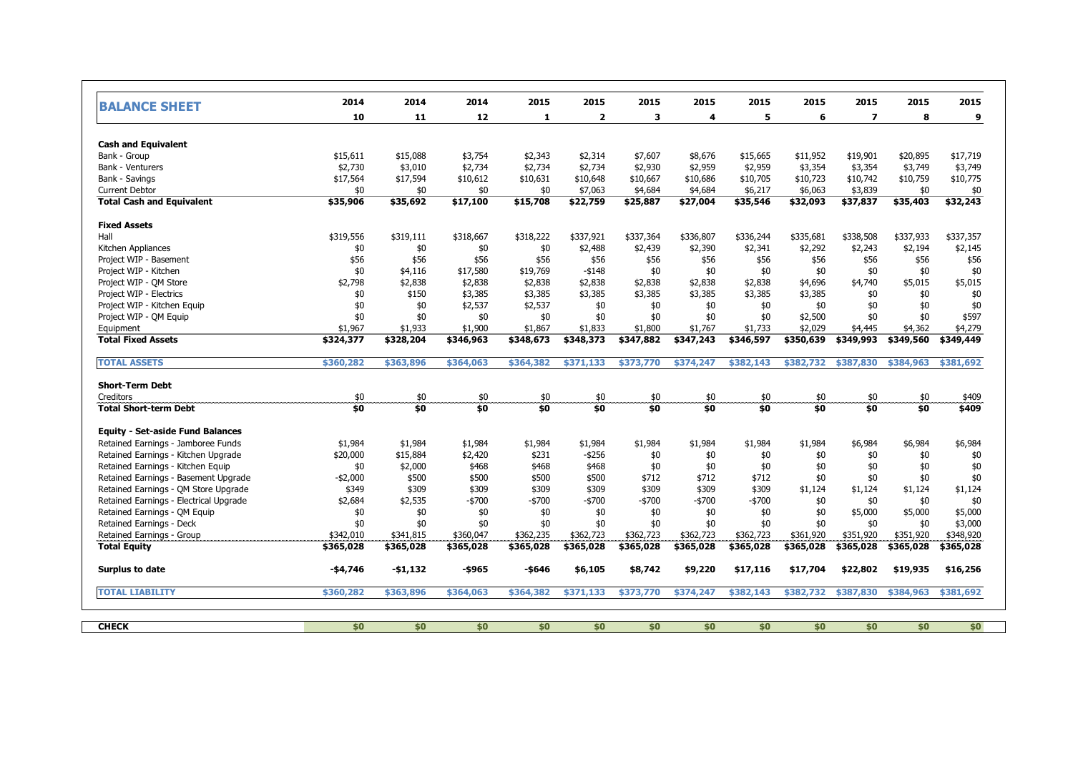| <b>BALANCE SHEET</b>                    | 2014        | 2014      | 2014      | 2015      | 2015           | 2015      | 2015      | 2015      | 2015      | 2015                     | 2015      | 2015      |
|-----------------------------------------|-------------|-----------|-----------|-----------|----------------|-----------|-----------|-----------|-----------|--------------------------|-----------|-----------|
|                                         | 10          | 11        | 12        | 1         | $\overline{2}$ | 3         | 4         | 5         | 6         | $\overline{\phantom{a}}$ | 8         | 9         |
| <b>Cash and Equivalent</b>              |             |           |           |           |                |           |           |           |           |                          |           |           |
| Bank - Group                            | \$15,611    | \$15,088  | \$3,754   | \$2,343   | \$2,314        | \$7,607   | \$8,676   | \$15,665  | \$11,952  | \$19,901                 | \$20,895  | \$17,719  |
| <b>Bank - Venturers</b>                 | \$2,730     | \$3,010   | \$2,734   | \$2,734   | \$2,734        | \$2,930   | \$2,959   | \$2,959   | \$3,354   | \$3,354                  | \$3,749   | \$3,749   |
| Bank - Savings                          | \$17,564    | \$17,594  | \$10,612  | \$10,631  | \$10,648       | \$10,667  | \$10,686  | \$10,705  | \$10,723  | \$10,742                 | \$10,759  | \$10,775  |
| <b>Current Debtor</b>                   | \$0         | \$0       | \$0       | \$0       | \$7,063        | \$4,684   | \$4,684   | \$6,217   | \$6,063   | \$3,839                  | \$0       | \$0       |
| <b>Total Cash and Equivalent</b>        | \$35,906    | \$35,692  | \$17,100  | \$15,708  | \$22,759       | \$25,887  | \$27,004  | \$35,546  | \$32,093  | \$37,837                 | \$35,403  | \$32,243  |
| <b>Fixed Assets</b>                     |             |           |           |           |                |           |           |           |           |                          |           |           |
| Hall                                    | \$319,556   | \$319,111 | \$318,667 | \$318,222 | \$337,921      | \$337,364 | \$336,807 | \$336,244 | \$335,681 | \$338,508                | \$337,933 | \$337,357 |
| Kitchen Appliances                      | \$0         | \$0       | \$0       | \$0       | \$2,488        | \$2,439   | \$2,390   | \$2,341   | \$2,292   | \$2,243                  | \$2,194   | \$2,145   |
| Project WIP - Basement                  | \$56        | \$56      | \$56      | \$56      | \$56           | \$56      | \$56      | \$56      | \$56      | \$56                     | \$56      | \$56      |
| Project WIP - Kitchen                   | \$0         | \$4,116   | \$17,580  | \$19,769  | $-$ \$148      | \$0       | \$0       | \$0       | \$0       | \$0                      | \$0       | \$0       |
| Project WIP - QM Store                  | \$2,798     | \$2,838   | \$2,838   | \$2,838   | \$2,838        | \$2,838   | \$2,838   | \$2,838   | \$4,696   | \$4,740                  | \$5,015   | \$5,015   |
| Project WIP - Electrics                 | \$0         | \$150     | \$3,385   | \$3,385   | \$3,385        | \$3,385   | \$3,385   | \$3,385   | \$3,385   | \$0                      | \$0       | \$0       |
| Project WIP - Kitchen Equip             | \$0         | \$0       | \$2,537   | \$2,537   | \$0            | \$0       | \$0       | \$0       | \$0       | \$0                      | \$0       | \$0       |
| Project WIP - QM Equip                  | \$0         | \$0       | \$0       | \$0       | \$0            | \$0       | \$0       | \$0       | \$2,500   | \$0                      | \$0       | \$597     |
| Equipment                               | \$1,967     | \$1,933   | \$1,900   | \$1,867   | \$1,833        | \$1,800   | \$1,767   | \$1,733   | \$2,029   | \$4,445                  | \$4,362   | \$4,279   |
| <b>Total Fixed Assets</b>               | \$324,377   | \$328,204 | \$346,963 | \$348,673 | \$348,373      | \$347,882 | \$347,243 | \$346,597 | \$350,639 | \$349,993                | \$349,560 | \$349,449 |
| <b>TOTAL ASSETS</b>                     | \$360,282   | \$363,896 | \$364,063 | \$364,382 | \$371,133      | \$373,770 | \$374,247 | \$382,143 | \$382,732 | \$387,830                | \$384,963 | \$381,692 |
| <b>Short-Term Debt</b>                  |             |           |           |           |                |           |           |           |           |                          |           |           |
| <b>Creditors</b>                        | \$0         | \$0       | \$0       | \$0       | \$0            | \$0       | \$0       | \$0       | \$0       | \$0                      | \$0       | \$409     |
| <b>Total Short-term Debt</b>            | \$0         | \$0       | \$0       | \$0       | \$0            | \$0       | 50        | \$0       | \$0       | \$0                      | \$0       | \$409     |
| <b>Equity - Set-aside Fund Balances</b> |             |           |           |           |                |           |           |           |           |                          |           |           |
| Retained Earnings - Jamboree Funds      | \$1,984     | \$1,984   | \$1,984   | \$1,984   | \$1,984        | \$1,984   | \$1,984   | \$1,984   | \$1,984   | \$6,984                  | \$6,984   | \$6,984   |
| Retained Earnings - Kitchen Upgrade     | \$20,000    | \$15,884  | \$2,420   | \$231     | $-$ \$256      | \$0       | \$0       | \$0       | \$0       | \$0                      | \$0       | \$0       |
| Retained Earnings - Kitchen Equip       | \$0         | \$2,000   | \$468     | \$468     | \$468          | \$0       | \$0       | \$0       | \$0       | \$0                      | \$0       | \$0       |
| Retained Earnings - Basement Upgrade    | $-$ \$2,000 | \$500     | \$500     | \$500     | \$500          | \$712     | \$712     | \$712     | \$0       | \$0                      | \$0       | \$0       |
| Retained Earnings - OM Store Upgrade    | \$349       | \$309     | \$309     | \$309     | \$309          | \$309     | \$309     | \$309     | \$1,124   | \$1,124                  | \$1,124   | \$1,124   |
| Retained Earnings - Electrical Upgrade  | \$2,684     | \$2,535   | -\$700    | $-5700$   | -\$700         | -\$700    | -\$700    | -\$700    | \$0       | \$0                      | \$0       | \$0       |
| Retained Earnings - QM Equip            | \$0         | \$0       | \$0       | \$0       | \$0            | \$0       | \$0       | \$0       | \$0       | \$5,000                  | \$5,000   | \$5,000   |
| Retained Earnings - Deck                | \$0         | \$0       | \$0       | \$0       | \$0            | \$0       | \$0       | \$0       | \$0       | \$0                      | \$0       | \$3,000   |
| Retained Earnings - Group               | \$342,010   | \$341,815 | \$360,047 | \$362,235 | \$362,723      | \$362,723 | \$362,723 | \$362,723 | \$361,920 | \$351,920                | \$351,920 | \$348,920 |
| <b>Total Equity</b>                     | \$365,028   | \$365,028 | \$365,028 | \$365,028 | \$365,028      | \$365,028 | \$365,028 | \$365,028 | \$365,028 | \$365,028                | \$365,028 | \$365,028 |
| Surplus to date                         | -\$4,746    | -\$1,132  | -\$965    | -\$646    | \$6,105        | \$8,742   | \$9,220   | \$17,116  | \$17,704  | \$22,802                 | \$19,935  | \$16,256  |
| <b>TOTAL LIABILITY</b>                  | \$360,282   | \$363,896 | \$364,063 | \$364,382 | \$371,133      | \$373,770 | \$374,247 | \$382,143 | \$382,732 | \$387,830                | \$384,963 | \$381,692 |
|                                         |             |           |           |           |                |           |           |           |           |                          |           |           |
| <b>CHECK</b>                            | \$0         | \$0       | \$0       | \$0       | \$0            | \$0       | \$0       | \$0       | \$0       | \$0                      | \$0       | \$0       |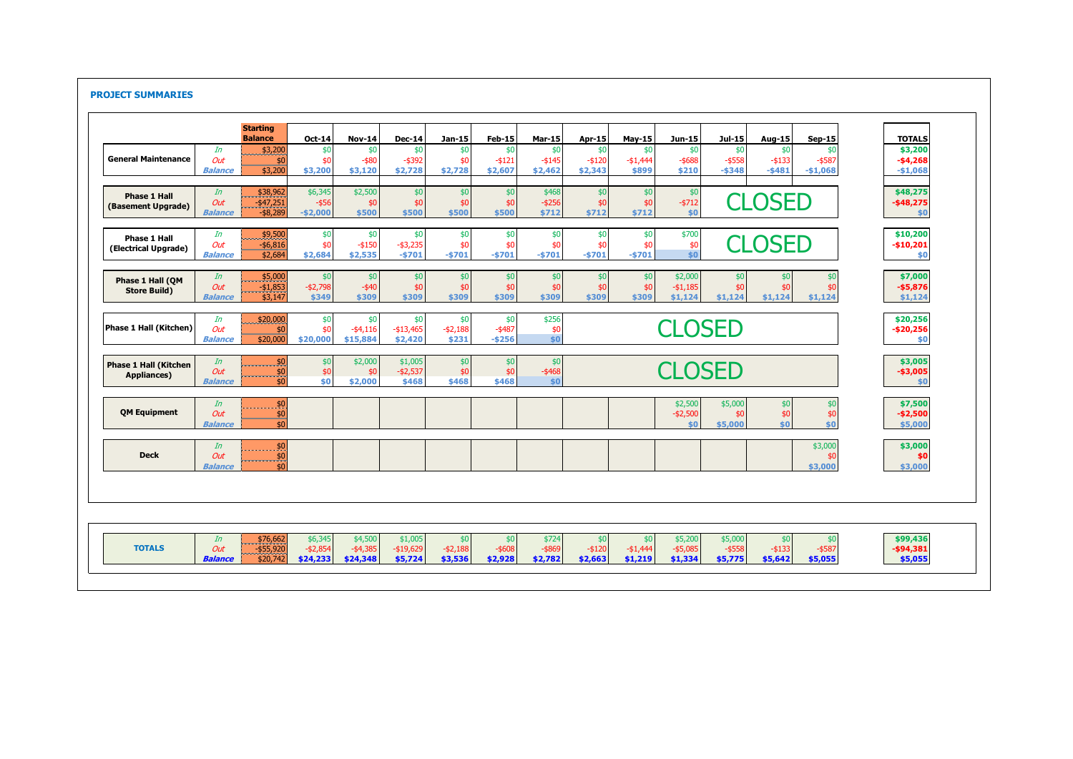## **PROJECT SUMMARIES**

|                                             |                             | <b>Starting</b>                         |                                   |                                    |                                    |                               |                               |                               |                             |                             |                                   |                                 |                            |                             |                                   |
|---------------------------------------------|-----------------------------|-----------------------------------------|-----------------------------------|------------------------------------|------------------------------------|-------------------------------|-------------------------------|-------------------------------|-----------------------------|-----------------------------|-----------------------------------|---------------------------------|----------------------------|-----------------------------|-----------------------------------|
| <b>General Maintenance</b>                  | In                          | <b>Balance</b><br>\$3,200               | <b>Oct-14</b><br>\$0              | <b>Nov-14</b><br>\$0               | <b>Dec-14</b><br>\$0               | Jan-15<br>\$0                 | Feb-15<br>\$0                 | Mar-15<br>\$0                 | Apr-15<br>\$0               | <b>May-15</b><br>\$0        | Jun-15<br>\$0                     | Jul-15<br>\$0                   | Aug-15<br>\$0              | <b>Sep-15</b><br>-\$0       | <b>TOTALS</b><br>\$3,200          |
|                                             | Out<br><b>Balance</b>       | \$0<br>\$3,200                          | \$0<br>\$3,200                    | $-$ \$80<br>\$3,120                | $-$ \$392<br>\$2,728               | \$0<br>\$2,728                | $-$ \$121<br>\$2,607          | $-5145$<br>\$2,462            | $- $120$<br>\$2,343         | $-$1.444$<br>\$899          | $-$ \$688<br>\$210                | $-$ \$558<br>$-5348$            | $-$ \$133<br>$-5481$       | $-$ \$587<br>$-$1,068$      | $-$4,268$<br>$-$1,068$            |
| <b>Phase 1 Hall</b><br>(Basement Upgrade)   | In<br>Out<br><b>Balance</b> | \$38,962<br>$-$ \$47,251<br>$-$ \$8.289 | \$6,345<br>$-$ \$56<br>$-$2,000$  | \$2,500<br>\$0<br>\$500            | \$0<br>\$0<br>\$500                | \$0<br>\$0<br>\$500           | \$0<br>\$0<br>\$500           | \$468<br>$-$ \$256<br>\$712   | \$0<br>\$0<br>\$712         | \$0<br>\$0<br>\$712         | \$0<br>$-5712$<br>\$0             |                                 | <b>CLOSED</b>              |                             | \$48,275<br>$-$ \$48,275<br>\$0   |
| <b>Phase 1 Hall</b><br>(Electrical Upgrade) | In<br>Out<br><b>Balance</b> | \$9,500<br>$-$ \$6,816<br>\$2,684       | \$0<br>\$0<br>\$2,684             | \$0<br>$-$ \$150<br>\$2,535        | \$0<br>$-$ \$3,235<br>$-5701$      | \$0<br>\$0<br>$-5701$         | \$0<br>\$0<br>$-5701$         | \$0<br>\$0<br>$-5701$         | \$0<br>\$0<br>$-5701$       | \$0<br>\$0<br>$-5701$       | \$700<br>\$0<br>\$0               |                                 | <b>CLOSED</b>              |                             | \$10,200<br>$-$10,201$<br>\$0     |
| Phase 1 Hall (OM<br><b>Store Build)</b>     | In<br>Out<br><b>Balance</b> | \$5,000<br>$-$1,853$<br>\$3,147         | \$0<br>$- $2,798$<br>\$349        | \$0<br>$-$ \$40<br>\$309           | \$0<br>\$0<br>\$309                | \$0<br>\$0<br>\$309           | \$0<br>\$0<br>\$309           | \$0<br>\$0<br>\$309           | \$0<br>\$0<br>\$309         | \$0<br>\$0<br>\$309         | \$2,000<br>$-$1,185$<br>\$1,124   | \$0<br>\$0<br>\$1.124           | \$0<br>\$0<br>\$1.124      | \$0<br>\$0<br>\$1.124       | \$7,000<br>$- $5,876$<br>\$1,124  |
| Phase 1 Hall (Kitchen)                      | In<br>Out<br><b>Balance</b> | \$20,000<br>\$0<br>\$20,000             | \$0<br>\$0<br>\$20,000            | \$0<br>$-$ \$4,116<br>\$15,884     | \$0<br>$- $13,465$<br>\$2,420      | \$0<br>$- $2,188$<br>\$231    | \$0<br>$-$ \$487<br>$-$ \$256 | \$256<br>\$0<br>\$0           |                             |                             | \$20,256<br>$-$20,256$<br>\$0     |                                 |                            |                             |                                   |
| <b>Phase 1 Hall (Kitchen</b><br>Appliances) | In<br>Out<br><b>Balance</b> | \$0<br>\$0<br>\$0                       | \$0<br>\$0<br>\$0                 | \$2,000<br>\$0<br>\$2,000          | \$1,005<br>$-$ \$2,537<br>\$468    | \$0<br>\$0<br>\$468           | \$0<br>\$0<br>\$468           | \$0<br>$-$ \$468<br>\$0       |                             |                             | CLOSED                            |                                 |                            |                             | \$3,005<br>$-$3,005$<br>\$0       |
| <b>QM Equipment</b>                         | In<br>Out<br><b>Balance</b> | \$0<br>$\frac{1}{2}$<br>\$0             |                                   |                                    |                                    |                               |                               |                               |                             |                             | \$2,500<br>$- $2,500$<br>\$0      | \$5,000<br>\$0<br>\$5,000       | \$0<br>\$0<br>\$0\$        | \$0<br>\$0<br>\$0           | \$7,500<br>$-$2,500$<br>\$5,000   |
| <b>Deck</b>                                 | In<br>Out<br><b>Balance</b> | \$0<br>\$0<br>\$0                       |                                   |                                    |                                    |                               |                               |                               |                             |                             |                                   |                                 |                            | \$3,000<br>\$3,000          | \$3,000<br>\$0<br>\$3,000         |
|                                             |                             |                                         |                                   |                                    |                                    |                               |                               |                               |                             |                             |                                   |                                 |                            |                             |                                   |
| <b>TOTALS</b>                               | In<br>Out<br><b>Balance</b> | \$76,662<br>$-$ \$55,920<br>\$20,742    | \$6,345<br>$- $2,854$<br>\$24,233 | \$4,500<br>$-$ \$4,385<br>\$24,348 | \$1,005<br>$-$ \$19,629<br>\$5,724 | \$0<br>$-$ \$2,188<br>\$3,536 | \$0<br>$-$ \$608<br>\$2,928   | \$724<br>$-$ \$869<br>\$2,782 | \$0<br>$-$ \$120<br>\$2,663 | \$0<br>$-$1,444$<br>\$1,219 | \$5,200<br>$-$ \$5,085<br>\$1,334 | \$5,000<br>$-$ \$558<br>\$5,775 | \$0<br>$- $133$<br>\$5,642 | \$0<br>$-$ \$587<br>\$5,055 | \$99,436<br>$-$94,381$<br>\$5,055 |